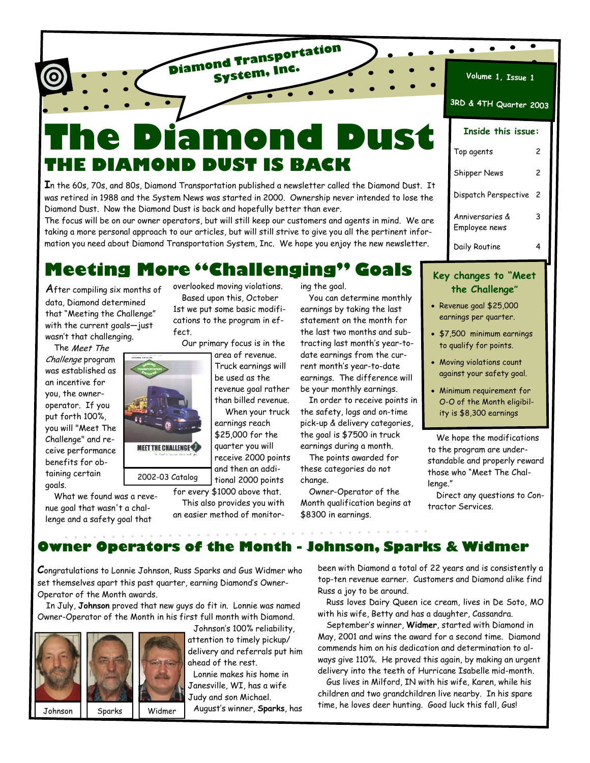# **The Diamond Dust THE DIAMOND DUST IS BACK**

**Diamond Transportation System, Inc.**

**I**n the 60s, 70s, and 80s, Diamond Transportation published a newsletter called the Diamond Dust. It was retired in 1988 and the System News was started in 2000. Ownership never intended to lose the Diamond Dust. Now the Diamond Dust is back and hopefully better than ever.

The focus will be on our owner operators, but will still keep our customers and agents in mind. We are taking a more personal approach to our articles, but will still strive to give you all the pertinent information you need about Diamond Transportation System, Inc. We hope you enjoy the new newsletter.

# **Meeting More "Challenging" Goals**

After compiling six months of data, Diamond determined that "Meeting the Challenge" with the current goals—just wasn't that challenging.

The Meet The Challenge program was established as an incentive for you, the owneroperator. If you put forth 100%, you will "Meet The Challenge" and receive performance benefits for obtaining certain goals.

What we found was a revenue goal that wasn't a challenge and a safety goal that

overlooked moving violations. Based upon this, October 1st we put some basic modifications to the program in effect.

Our primary focus is in the

Truck earnings will revenue goal rather

earnings reach

This also provides you with

ing the goal.

You can determine monthly earnings by taking the last statement on the month for the last two months and subtracting last month's year-todate earnings from the current month's year-to-date earnings. The difference will be your monthly earnings.

In order to receive points in the safety, logs and on-time pick-up & delivery categories, the goal is \$7500 in truck earnings during a month.

The points awarded for these categories do not change.

Owner-Operator of the Month qualification begins at \$8300 in earnings.

| 3RD & 4TH Quarter 2003 |                                  |   |  |
|------------------------|----------------------------------|---|--|
|                        | Inside this issue:               |   |  |
|                        | Top agents                       | 2 |  |
|                        | Shipper News                     | 2 |  |
|                        | Dispatch Perspective             | 2 |  |
|                        | Anniversaries &<br>Employee news | 3 |  |
|                        | Daily Routine                    |   |  |

**Volume 1, Issue 1**

 $\bullet$ 

 $\bullet$ 

### **Key changes to "Meet the Challenge"**

- Revenue goal \$25,000 earnings per quarter.
- \$7,500 minimum earnings to qualify for points.
- Moving violations count against your safety goal.
- Minimum requirement for O-O of the Month eligibility is \$8,300 earnings

We hope the modifications to the program are understandable and properly reward those who "Meet The Challenge."

Direct any questions to Contractor Services.

# **Owner Operators of the Month - Johnson, Sparks & Widmer**

**C**ongratulations to Lonnie Johnson, Russ Sparks and Gus Widmer who set themselves apart this past quarter, earning Diamond's Owner-Operator of the Month awards.

**MEET THE CHALLENGE** 

In July, **Johnson** proved that new guys do fit in. Lonnie was named Owner-Operator of the Month in his first full month with Diamond.





Johnson's 100% reliability, attention to timely pickup/ delivery and referrals put him ahead of the rest.

Lonnie makes his home in Janesville, WI, has a wife Judy and son Michael. August's winner, **Sparks**, has been with Diamond a total of 22 years and is consistently a top-ten revenue earner. Customers and Diamond alike find Russ a joy to be around.

Russ loves Dairy Queen ice cream, lives in De Soto, MO with his wife, Betty and has a daughter, Cassandra.

September's winner, **Widmer**, started with Diamond in May, 2001 and wins the award for a second time. Diamond commends him on his dedication and determination to always give 110%. He proved this again, by making an urgent delivery into the teeth of Hurricane Isabelle mid-month.

Gus lives in Milford, IN with his wife, Karen, while his children and two grandchildren live nearby. In his spare time, he loves deer hunting. Good luck this fall, Gus!

than billed revenue. When your truck

\$25,000 for the quarter you will receive 2000 points and then an addi-

tional 2000 points for every \$1000 above that. 2002-03 Catalog

an easier method of monitor-

area of revenue. be used as the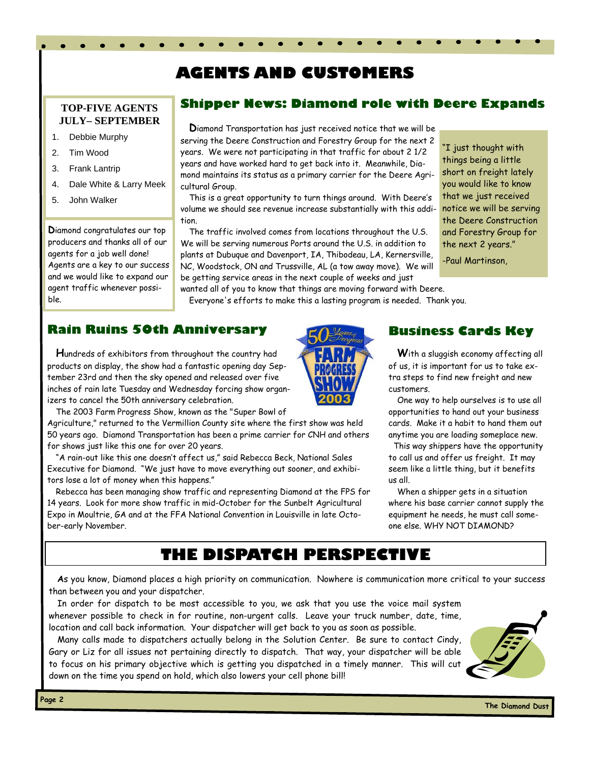# **AGENTS AND CUSTOMERS**

### **TOP-FIVE AGENTS JULY– SEPTEMBER**

- 1. Debbie Murphy
- 2. Tim Wood
- 3. Frank Lantrip
- 4. Dale White & Larry Meek
- 5. John Walker

**D**iamond congratulates our top producers and thanks all of our agents for a job well done! Agents are a key to our success and we would like to expand our agent traffic whenever possible.

### **Shipper News: Diamond role with Deere Expands**

**D**iamond Transportation has just received notice that we will be serving the Deere Construction and Forestry Group for the next 2 years. We were not participating in that traffic for about 2 1/2 years and have worked hard to get back into it. Meanwhile, Diamond maintains its status as a primary carrier for the Deere Agricultural Group.

This is a great opportunity to turn things around. With Deere's volume we should see revenue increase substantially with this addition.

The traffic involved comes from locations throughout the U.S. We will be serving numerous Ports around the U.S. in addition to plants at Dubuque and Davenport, IA, Thibodeau, LA, Kernersville, NC, Woodstock, ON and Trussville, AL (a tow away move). We will be getting service areas in the next couple of weeks and just

-Paul Martinson,

wanted all of you to know that things are moving forward with Deere. Everyone's efforts to make this a lasting program is needed. Thank you.

### **Rain Ruins 50th Anniversary**

**H**undreds of exhibitors from throughout the country had products on display, the show had a fantastic opening day September 23rd and then the sky opened and released over five inches of rain late Tuesday and Wednesday forcing show organizers to cancel the 50th anniversary celebration.

The 2003 Farm Progress Show, known as the "Super Bowl of

Agriculture," returned to the Vermillion County site where the first show was held 50 years ago. Diamond Transportation has been a prime carrier for CNH and others for shows just like this one for over 20 years.

"A rain-out like this one doesn't affect us," said Rebecca Beck, National Sales Executive for Diamond. "We just have to move everything out sooner, and exhibitors lose a lot of money when this happens."

Rebecca has been managing show traffic and representing Diamond at the FPS for 14 years. Look for more show traffic in mid-October for the Sunbelt Agricultural Expo in Moultrie, GA and at the FFA National Convention in Louisville in late October-early November.



### **Business Cards Key**

"I just thought with things being a little short on freight lately you would like to know that we just received notice we will be serving the Deere Construction and Forestry Group for the next 2 years."

**W**ith a sluggish economy affecting all of us, it is important for us to take extra steps to find new freight and new customers.

One way to help ourselves is to use all opportunities to hand out your business cards. Make it a habit to hand them out anytime you are loading someplace new.

 This way shippers have the opportunity to call us and offer us freight. It may seem like a little thing, but it benefits us all.

When a shipper gets in a situation where his base carrier cannot supply the equipment he needs, he must call someone else. WHY NOT DIAMOND?

# **THE DISPATCH PERSPECTIVE**

**A**s you know, Diamond places a high priority on communication. Nowhere is communication more critical to your success than between you and your dispatcher.

In order for dispatch to be most accessible to you, we ask that you use the voice mail system whenever possible to check in for routine, non-urgent calls. Leave your truck number, date, time, location and call back information. Your dispatcher will get back to you as soon as possible.

Many calls made to dispatchers actually belong in the Solution Center. Be sure to contact Cindy, Gary or Liz for all issues not pertaining directly to dispatch. That way, your dispatcher will be able to focus on his primary objective which is getting you dispatched in a timely manner. This will cut down on the time you spend on hold, which also lowers your cell phone bill!

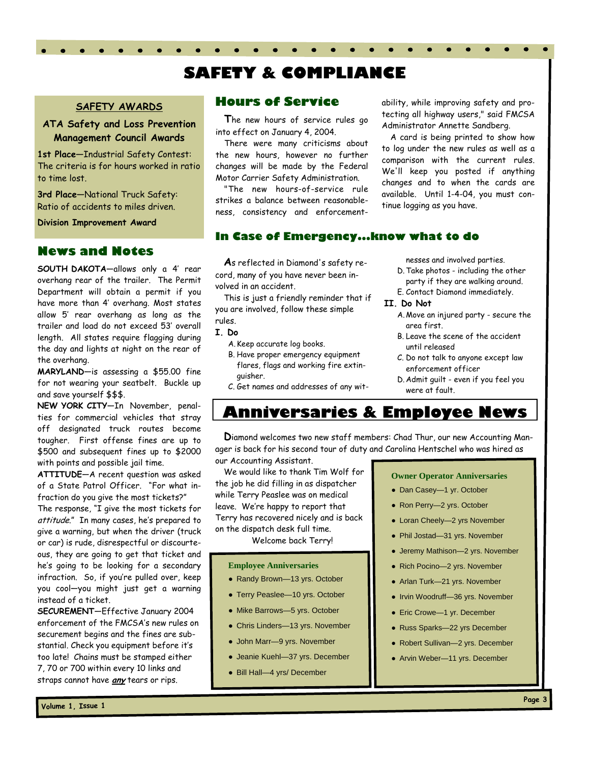# **SAFETY & COMPLIANCE**

#### **SAFETY AWARDS**

### **ATA Safety and Loss Prevention Management Council Awards**

**1st Place—**Industrial Safety Contest: The criteria is for hours worked in ratio to time lost.

**3rd Place—**National Truck Safety: Ratio of accidents to miles driven.

**Division Improvement Award** 

#### **News and Notes**

**SOUTH DAKOTA**—allows only a 4' rear overhang rear of the trailer. The Permit Department will obtain a permit if you have more than 4' overhang. Most states allow 5' rear overhang as long as the trailer and load do not exceed 53' overall length. All states require flagging during the day and lights at night on the rear of the overhang.

**MARYLAND**—is assessing a \$55.00 fine for not wearing your seatbelt. Buckle up and save yourself \$\$\$.

**NEW YORK CITY**—In November, penalties for commercial vehicles that stray off designated truck routes become tougher. First offense fines are up to \$500 and subsequent fines up to \$2000 with points and possible jail time.

**ATTITUDE**—A recent question was asked of a State Patrol Officer. "For what infraction do you give the most tickets?"

The response, "I give the most tickets for attitude." In many cases, he's prepared to give a warning, but when the driver (truck or car) is rude, disrespectful or discourteous, they are going to get that ticket and he's going to be looking for a secondary infraction. So, if you're pulled over, keep you cool—you might just get a warning instead of a ticket.

**SECUREMENT**—Effective January 2004 enforcement of the FMCSA's new rules on securement begins and the fines are substantial. Check you equipment before it's too late! Chains must be stamped either 7, 70 or 700 within every 10 links and straps cannot have **any** tears or rips.

### **Hours of Service**

**T**he new hours of service rules go into effect on January 4, 2004.

There were many criticisms about the new hours, however no further changes will be made by the Federal Motor Carrier Safety Administration.

"The new hours-of-service rule strikes a balance between reasonableness, consistency and enforcement-

#### **In Case of Emergency...know what to do**

**A**s reflected in Diamond's safety record, many of you have never been involved in an accident.

This is just a friendly reminder that if you are involved, follow these simple rules.

#### **I. Do**

- A. Keep accurate log books.
- B. Have proper emergency equipment flares, flags and working fire extinguisher.
- C. Get names and addresses of any wit-

ability, while improving safety and protecting all highway users," said FMCSA Administrator Annette Sandberg.

A card is being printed to show how to log under the new rules as well as a comparison with the current rules. We'll keep you posted if anything changes and to when the cards are available. Until 1-4-04, you must continue logging as you have.

nesses and involved parties.

- D. Take photos including the other party if they are walking around.
- E. Contact Diamond immediately.

#### **II. Do Not**

- A. Move an injured party secure the area first.
- B. Leave the scene of the accident until released
- C. Do not talk to anyone except law enforcement officer
- D. Admit guilt even if you feel you were at fault.

## **Anniversaries & Employee News**

**D**iamond welcomes two new staff members: Chad Thur, our new Accounting Manager is back for his second tour of duty and Carolina Hentschel who was hired as our Accounting Assistant.

We would like to thank Tim Wolf for the job he did filling in as dispatcher while Terry Peaslee was on medical leave. We're happy to report that

Terry has recovered nicely and is back on the dispatch desk full time.

Welcome back Terry!

#### **Employee Anniversaries**

- Randy Brown-13 yrs. October
- Terry Peaslee-10 yrs. October
- Mike Barrows-5 yrs. October
- Chris Linders-13 yrs. November
- John Marr-9 yrs. November
- Jeanie Kuehl—37 yrs. December
- Bill Hall-4 yrs/ December

#### **Owner Operator Anniversaries**

- Dan Casey-1 yr. October
- Ron Perry-2 yrs. October
- Loran Cheely—2 yrs November
- Phil Jostad—31 yrs. November
- Jeremy Mathison-2 yrs. November
- Rich Pocino—2 yrs. November
- Arlan Turk—21 yrs. November
- Irvin Woodruff—36 yrs. November
- Eric Crowe—1 yr. December
- Russ Sparks—22 yrs December
- Robert Sullivan—2 yrs. December
- Arvin Weber-11 yrs. December